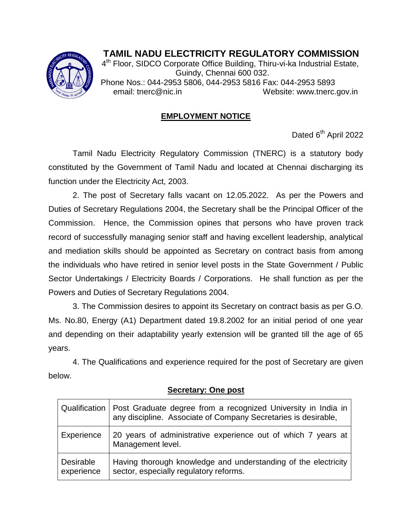

## **TAMIL NADU ELECTRICITY REGULATORY COMMISSION**

<sup>4th</sup> Floor, SIDCO Corporate Office Building, Thiru-vi-ka Industrial Estate, Guindy, Chennai 600 032. Phone Nos.: 044-2953 5806, 044-2953 5816 Fax: 044-2953 5893 email: tnerc@nic.in Website: www.tnerc.gov.in

## **EMPLOYMENT NOTICE**

Dated 6<sup>th</sup> April 2022

Tamil Nadu Electricity Regulatory Commission (TNERC) is a statutory body constituted by the Government of Tamil Nadu and located at Chennai discharging its function under the Electricity Act, 2003.

2. The post of Secretary falls vacant on 12.05.2022. As per the Powers and Duties of Secretary Regulations 2004, the Secretary shall be the Principal Officer of the Commission. Hence, the Commission opines that persons who have proven track record of successfully managing senior staff and having excellent leadership, analytical and mediation skills should be appointed as Secretary on contract basis from among the individuals who have retired in senior level posts in the State Government / Public Sector Undertakings / Electricity Boards / Corporations. He shall function as per the Powers and Duties of Secretary Regulations 2004.

3. The Commission desires to appoint its Secretary on contract basis as per G.O. Ms. No.80, Energy (A1) Department dated 19.8.2002 for an initial period of one year and depending on their adaptability yearly extension will be granted till the age of 65 years.

4. The Qualifications and experience required for the post of Secretary are given below.

|                                | Qualification   Post Graduate degree from a recognized University in India in<br>any discipline. Associate of Company Secretaries is desirable, |
|--------------------------------|-------------------------------------------------------------------------------------------------------------------------------------------------|
| Experience                     | 20 years of administrative experience out of which 7 years at<br>Management level.                                                              |
| <b>Desirable</b><br>experience | Having thorough knowledge and understanding of the electricity<br>sector, especially regulatory reforms.                                        |

## **Secretary: One post**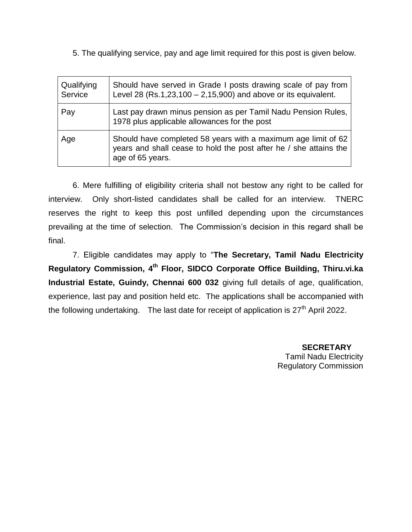5. The qualifying service, pay and age limit required for this post is given below.

| Qualifying<br>Service | Should have served in Grade I posts drawing scale of pay from<br>Level 28 (Rs.1,23,100 $-$ 2,15,900) and above or its equivalent.                      |
|-----------------------|--------------------------------------------------------------------------------------------------------------------------------------------------------|
| Pay                   | Last pay drawn minus pension as per Tamil Nadu Pension Rules,<br>1978 plus applicable allowances for the post                                          |
| Age                   | Should have completed 58 years with a maximum age limit of 62<br>years and shall cease to hold the post after he / she attains the<br>age of 65 years. |

6. Mere fulfilling of eligibility criteria shall not bestow any right to be called for interview. Only short-listed candidates shall be called for an interview. TNERC reserves the right to keep this post unfilled depending upon the circumstances prevailing at the time of selection. The Commission's decision in this regard shall be final.

7. Eligible candidates may apply to "**The Secretary, Tamil Nadu Electricity Regulatory Commission, 4 th Floor, SIDCO Corporate Office Building, Thiru.vi.ka Industrial Estate, Guindy, Chennai 600 032** giving full details of age, qualification, experience, last pay and position held etc. The applications shall be accompanied with the following undertaking. The last date for receipt of application is  $27<sup>th</sup>$  April 2022.

> **SECRETARY** Tamil Nadu Electricity Regulatory Commission